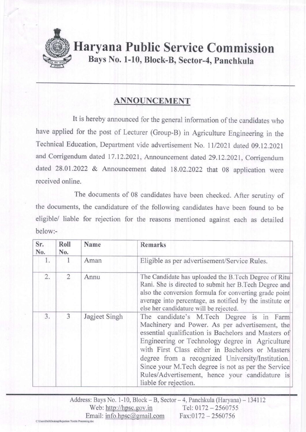

## ANNOUNCEMENT

It is hereby announced for the general information of the candidates who have applied for the post of Lecturer (Group-B) in Agriculture Engineering in the Technical Education, Department vide advertisement No. ll/2021 dated 09.12.2021 and corrigendum dated 17.12.2021, Announcement dated 29.12.2021, corrigendum dated 28.01.2022 & Announcement dated 18.02.2022 that 08 application were received online.

The documents of 08 candidates have been checked. After scrutiny of the documents, the candidature of the following candidates have been found to be eligible/ liable for rejection for the reasons mentioned against each as detailed below:-

| Sr.<br>No. | Roll<br>No.    | Name          | <b>Remarks</b>                                                                                                                                                                                                                                                                                                                                                                                                                               |
|------------|----------------|---------------|----------------------------------------------------------------------------------------------------------------------------------------------------------------------------------------------------------------------------------------------------------------------------------------------------------------------------------------------------------------------------------------------------------------------------------------------|
| 1.         | 1              | Aman          | Eligible as per advertisement/Service Rules.                                                                                                                                                                                                                                                                                                                                                                                                 |
| 2.         | 2              | Annu          | The Candidate has uploaded the B.Tech Degree of Ritu<br>Rani. She is directed to submit her B. Tech Degree and<br>also the conversion formula for converting grade point<br>average into percentage, as notified by the institute or<br>else her candidature will be rejected.                                                                                                                                                               |
| 3.         | $\overline{3}$ | Jagjeet Singh | The candidate's M.Tech Degree is in Farm<br>Machinery and Power. As per advertisement, the<br>essential qualification is Bachelors and Masters of<br>Engineering or Technology degree in Agriculture<br>with First Class either in Bachelors or Masters<br>degree from a recognized University/Institution.<br>Since your M.Tech degree is not as per the Service<br>Rules/Advertisement, hence your candidature is<br>liable for rejection. |

Address: Bays No. 1-10, Block - B, Sector - 4, Panchkula (Haryana) - 134112<br>Web: http://hpsc.gov.in Tel: 0172 - 2560755 Web:  $\frac{http://hpsc.gov.in}{\text{imal}: info.hpsc@gmail.com}$  Tel: 0172 - 2560756  $Email:info.hpsc@gmail.com$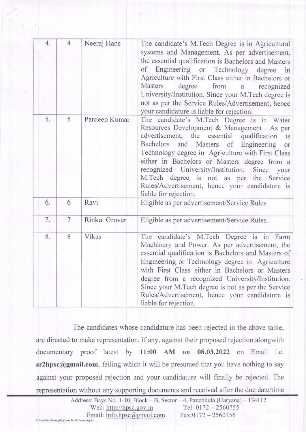| 4. | $\overline{4}$ | Neeraj Hans   | The candidate's M.Tech Degree is in Agricultural<br>systems and Management. As per advertisement,<br>the essential qualification is Bachelors and Masters<br>of Engineering or Technology degree<br>in<br>Agriculture with First Class either in Bachelors or<br>Masters<br>degree<br>from<br>a recognized<br>University/Institution. Since your M.Tech degree is<br>not as per the Service Rules/Advertisement, hence<br>your candidature is liable for rejection.       |
|----|----------------|---------------|---------------------------------------------------------------------------------------------------------------------------------------------------------------------------------------------------------------------------------------------------------------------------------------------------------------------------------------------------------------------------------------------------------------------------------------------------------------------------|
| 5. | 5              | Pardeep Kumar | The candidate's M.Tech Degree is in Water<br>Resources Development & Management . As per<br>advertisement, the essential qualification<br>is<br>Bachelors and Masters of Engineering<br>or<br>Technology degree in Agriculture with First Class<br>either in Bachelors or Masters degree from a<br>recognized University/Institution. Since<br>your<br>M.Tech degree is not as per the Service<br>Rules/Advertisement, hence your candidature is<br>liable for rejection. |
| 6. | 6              | Ravi          | Eligible as per advertisement/Service Rules.                                                                                                                                                                                                                                                                                                                                                                                                                              |
| 7. | 7              | Rinku Grover  | Eligible as per advertisement/Service Rules.                                                                                                                                                                                                                                                                                                                                                                                                                              |
| 8. | 8              | Vikas         | The candidate's M.Tech Degree is in Farm<br>Machinery and Power. As per advertisement, the<br>essential qualification is Bachelors and Masters of<br>Engineering or Technology degree in Agriculture<br>with First Class either in Bachelors or Masters<br>degree from a recognized University/Institution.<br>Since your M.Tech degree is not as per the Service<br>Rules/Advertisement, hence your candidature is<br>liable for rejection.                              |

The candidates whose candidature has been rejected in the above table, are directed to make representation, if any, against their proposed rejection alongwith documentary proof latest by 11:00 AM on 08.03.2022 on Email i.e.  $sr2hpsc@gmail.com$ , failing which it will be presumed that you have nothing to say against your proposed rejection and your candidature will finally be rejected. The representation without any supporting documents and received after the due date/time